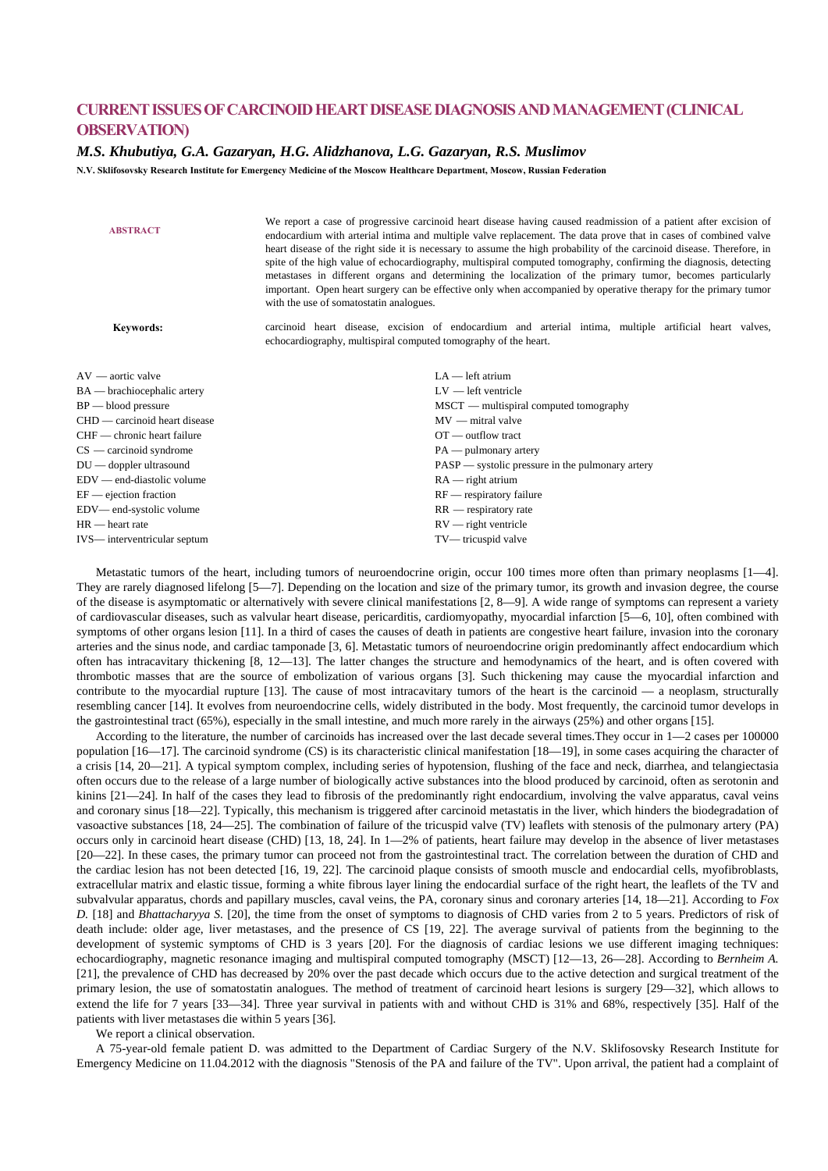## **CURRENT ISSUES OF CARCINOID HEART DISEASE DIAGNOSIS AND MANAGEMENT (CLINICAL OBSERVATION)**

## *M.S. Khubutiya, G.A. Gazaryan, H.G. Alidzhanova, L.G. Gazaryan, R.S. Muslimov*

**N.V. Sklifosovsky Research Institute for Emergency Medicine of the Moscow Healthcare Department, Moscow, Russian Federation** 

| <b>ABSTRACT</b>               | We report a case of progressive carcinoid heart disease having caused readmission of a patient after excision of<br>endocardium with arterial intima and multiple valve replacement. The data prove that in cases of combined valve<br>heart disease of the right side it is necessary to assume the high probability of the carcinoid disease. Therefore, in<br>spite of the high value of echocardiography, multispiral computed tomography, confirming the diagnosis, detecting<br>metastases in different organs and determining the localization of the primary tumor, becomes particularly<br>important. Open heart surgery can be effective only when accompanied by operative therapy for the primary tumor<br>with the use of somatostatin analogues. |
|-------------------------------|----------------------------------------------------------------------------------------------------------------------------------------------------------------------------------------------------------------------------------------------------------------------------------------------------------------------------------------------------------------------------------------------------------------------------------------------------------------------------------------------------------------------------------------------------------------------------------------------------------------------------------------------------------------------------------------------------------------------------------------------------------------|
| <b>Keywords:</b>              | carcinoid heart disease, excision of endocardium and arterial intima, multiple artificial heart valves,<br>echocardiography, multispiral computed tomography of the heart.                                                                                                                                                                                                                                                                                                                                                                                                                                                                                                                                                                                     |
| AV — aortic valve             | $LA$ - left atrium                                                                                                                                                                                                                                                                                                                                                                                                                                                                                                                                                                                                                                                                                                                                             |
| BA — brachiocephalic artery   | $LV = left$ ventricle                                                                                                                                                                                                                                                                                                                                                                                                                                                                                                                                                                                                                                                                                                                                          |
| $BP$ — blood pressure         | $MSCT$ — multispiral computed tomography                                                                                                                                                                                                                                                                                                                                                                                                                                                                                                                                                                                                                                                                                                                       |
| CHD — carcinoid heart disease | $MV$ — mitral valve                                                                                                                                                                                                                                                                                                                                                                                                                                                                                                                                                                                                                                                                                                                                            |
| CHF — chronic heart failure   | OT — outflow tract                                                                                                                                                                                                                                                                                                                                                                                                                                                                                                                                                                                                                                                                                                                                             |
| $CS$ — carcinoid syndrome     | $PA$ — pulmonary artery                                                                                                                                                                                                                                                                                                                                                                                                                                                                                                                                                                                                                                                                                                                                        |
| $DU$ — doppler ultrasound     | $PASP$ — systolic pressure in the pulmonary artery                                                                                                                                                                                                                                                                                                                                                                                                                                                                                                                                                                                                                                                                                                             |
| EDV — end-diastolic volume    | $RA$ — right atrium                                                                                                                                                                                                                                                                                                                                                                                                                                                                                                                                                                                                                                                                                                                                            |
| EF — ejection fraction        | $RF$ — respiratory failure                                                                                                                                                                                                                                                                                                                                                                                                                                                                                                                                                                                                                                                                                                                                     |
| EDV-end-systolic volume       | $RR$ — respiratory rate                                                                                                                                                                                                                                                                                                                                                                                                                                                                                                                                                                                                                                                                                                                                        |
| HR — heart rate               | $RV$ — right ventricle                                                                                                                                                                                                                                                                                                                                                                                                                                                                                                                                                                                                                                                                                                                                         |
| IVS— interventricular septum  | TV— tricuspid valve                                                                                                                                                                                                                                                                                                                                                                                                                                                                                                                                                                                                                                                                                                                                            |

Metastatic tumors of the heart, including tumors of neuroendocrine origin, occur 100 times more often than primary neoplasms [1—4]. They are rarely diagnosed lifelong [5—7]. Depending on the location and size of the primary tumor, its growth and invasion degree, the course of the disease is asymptomatic or alternatively with severe clinical manifestations [2, 8—9]. A wide range of symptoms can represent a variety of cardiovascular diseases, such as valvular heart disease, pericarditis, cardiomyopathy, myocardial infarction [5—6, 10], often combined with symptoms of other organs lesion [11]. In a third of cases the causes of death in patients are congestive heart failure, invasion into the coronary arteries and the sinus node, and cardiac tamponade [3, 6]. Metastatic tumors of neuroendocrine origin predominantly affect endocardium which often has intracavitary thickening [8, 12—13]. The latter changes the structure and hemodynamics of the heart, and is often covered with thrombotic masses that are the source of embolization of various organs [3]. Such thickening may cause the myocardial infarction and contribute to the myocardial rupture [13]. The cause of most intracavitary tumors of the heart is the carcinoid  $\overline{a}$  a neoplasm, structurally resembling cancer [14]. It evolves from neuroendocrine cells, widely distributed in the body. Most frequently, the carcinoid tumor develops in the gastrointestinal tract (65%), especially in the small intestine, and much more rarely in the airways (25%) and other organs [15].

According to the literature, the number of carcinoids has increased over the last decade several times.They occur in 1—2 cases per 100000 population [16—17]. The carcinoid syndrome (CS) is its characteristic clinical manifestation [18—19], in some cases acquiring the character of a crisis [14, 20—21]. A typical symptom complex, including series of hypotension, flushing of the face and neck, diarrhea, and telangiectasia often occurs due to the release of a large number of biologically active substances into the blood produced by carcinoid, often as serotonin and kinins [21—24]. In half of the cases they lead to fibrosis of the predominantly right endocardium, involving the valve apparatus, caval veins and coronary sinus [18—22]. Typically, this mechanism is triggered after carcinoid metastatis in the liver, which hinders the biodegradation of vasoactive substances [18, 24—25]. The combination of failure of the tricuspid valve (TV) leaflets with stenosis of the pulmonary artery (PA) occurs only in carcinoid heart disease (CHD) [13, 18, 24]. In 1—2% of patients, heart failure may develop in the absence of liver metastases [20—22]. In these cases, the primary tumor can proceed not from the gastrointestinal tract. The correlation between the duration of CHD and the cardiac lesion has not been detected [16, 19, 22]. The carcinoid plaque consists of smooth muscle and endocardial cells, myofibroblasts, extracellular matrix and elastic tissue, forming a white fibrous layer lining the endocardial surface of the right heart, the leaflets of the TV and subvalvular apparatus, chords and papillary muscles, caval veins, the PA, coronary sinus and coronary arteries [14, 18—21]. According to *Fox D.* [18] and *Bhattacharyya S.* [20], the time from the onset of symptoms to diagnosis of CHD varies from 2 to 5 years. Predictors of risk of death include: older age, liver metastases, and the presence of CS [19, 22]. The average survival of patients from the beginning to the development of systemic symptoms of CHD is 3 years [20]. For the diagnosis of cardiac lesions we use different imaging techniques: echocardiography, magnetic resonance imaging and multispiral computed tomography (MSCT) [12—13, 26—28]. According to *Bernheim A.* [21], the prevalence of CHD has decreased by 20% over the past decade which occurs due to the active detection and surgical treatment of the primary lesion, the use of somatostatin analogues. The method of treatment of carcinoid heart lesions is surgery [29—32], which allows to extend the life for 7 years [33—34]. Three year survival in patients with and without CHD is 31% and 68%, respectively [35]. Half of the patients with liver metastases die within 5 years [36].

We report a clinical observation.

A 75-year-old female patient D. was admitted to the Department of Cardiac Surgery of the N.V. Sklifosovsky Research Institute for Emergency Medicine on 11.04.2012 with the diagnosis "Stenosis of the PA and failure of the TV". Upon arrival, the patient had a complaint of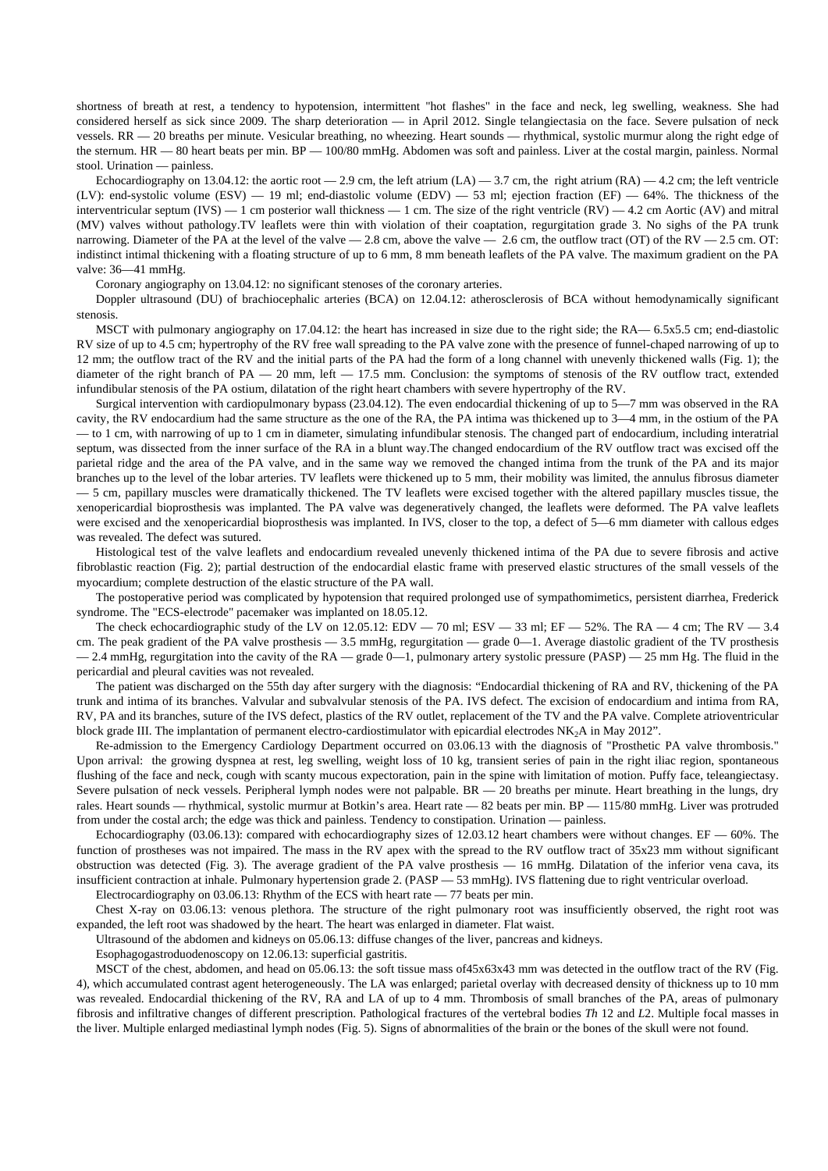shortness of breath at rest, a tendency to hypotension, intermittent "hot flashes" in the face and neck, leg swelling, weakness. She had considered herself as sick since 2009. The sharp deterioration — in April 2012. Single telangiectasia on the face. Severe pulsation of neck vessels. RR — 20 breaths per minute. Vesicular breathing, no wheezing. Heart sounds — rhythmical, systolic murmur along the right edge of the sternum. HR — 80 heart beats per min. BP — 100/80 mmHg. Abdomen was soft and painless. Liver at the costal margin, painless. Normal stool. Urination — painless.

Echocardiography on 13.04.12: the aortic root  $-2.9$  cm, the left atrium (LA)  $-3.7$  cm, the right atrium (RA)  $-4.2$  cm; the left ventricle (LV): end-systolic volume (ESV) — 19 ml; end-diastolic volume (EDV) — 53 ml; ejection fraction (EF) — 64%. The thickness of the interventricular septum (IVS)  $-1$  cm posterior wall thickness  $-1$  cm. The size of the right ventricle (RV)  $-4.2$  cm Aortic (AV) and mitral (MV) valves without pathology.TV leaflets were thin with violation of their coaptation, regurgitation grade 3. No sighs of the PA trunk narrowing. Diameter of the PA at the level of the valve  $-2.8$  cm, above the valve  $-2.6$  cm, the outflow tract (OT) of the RV  $-2.5$  cm. OT: indistinct intimal thickening with a floating structure of up to 6 mm, 8 mm beneath leaflets of the PA valve. The maximum gradient on the PA valve: 36—41 mmHg.

Coronary angiography on 13.04.12: no significant stenoses of the coronary arteries.

Doppler ultrasound (DU) of brachiocephalic arteries (BCA) on 12.04.12: atherosclerosis of BCA without hemodynamically significant stenosis.

MSCT with pulmonary angiography on 17.04.12: the heart has increased in size due to the right side; the RA— 6.5x5.5 cm; end-diastolic RV size of up to 4.5 cm; hypertrophy of the RV free wall spreading to the PA valve zone with the presence of funnel-chaped narrowing of up to 12 mm; the outflow tract of the RV and the initial parts of the PA had the form of a long channel with unevenly thickened walls (Fig. 1); the diameter of the right branch of PA  $-$  20 mm, left  $-$  17.5 mm. Conclusion: the symptoms of stenosis of the RV outflow tract, extended infundibular stenosis of the PA ostium, dilatation of the right heart chambers with severe hypertrophy of the RV.

Surgical intervention with cardiopulmonary bypass (23.04.12). The even endocardial thickening of up to 5—7 mm was observed in the RA cavity, the RV endocardium had the same structure as the one of the RA, the PA intima was thickened up to 3—4 mm, in the ostium of the PA — to 1 cm, with narrowing of up to 1 cm in diameter, simulating infundibular stenosis. The changed part of endocardium, including interatrial septum, was dissected from the inner surface of the RA in a blunt way.The changed endocardium of the RV outflow tract was excised off the parietal ridge and the area of the PA valve, and in the same way we removed the changed intima from the trunk of the PA and its major branches up to the level of the lobar arteries. TV leaflets were thickened up to 5 mm, their mobility was limited, the annulus fibrosus diameter — 5 cm, papillary muscles were dramatically thickened. The TV leaflets were excised together with the altered papillary muscles tissue, the xenopericardial bioprosthesis was implanted. The PA valve was degeneratively changed, the leaflets were deformed. The PA valve leaflets were excised and the xenopericardial bioprosthesis was implanted. In IVS, closer to the top, a defect of 5—6 mm diameter with callous edges was revealed. The defect was sutured.

Histological test of the valve leaflets and endocardium revealed unevenly thickened intima of the PA due to severe fibrosis and active fibroblastic reaction (Fig. 2); partial destruction of the endocardial elastic frame with preserved elastic structures of the small vessels of the myocardium; complete destruction of the elastic structure of the PA wall.

The postoperative period was complicated by hypotension that required prolonged use of sympathomimetics, persistent diarrhea, Frederick syndrome. The "ECS-electrode" pacemaker was implanted on 18.05.12.

The check echocardiographic study of the LV on 12.05.12: EDV - 70 ml; ESV - 33 ml; EF - 52%. The RA - 4 cm; The RV - 3.4 cm. The peak gradient of the PA valve prosthesis — 3.5 mmHg, regurgitation — grade 0—1. Average diastolic gradient of the TV prosthesis — 2.4 mmHg, regurgitation into the cavity of the RA — grade 0—1, pulmonary artery systolic pressure (PASP) — 25 mm Hg. The fluid in the pericardial and pleural cavities was not revealed.

The patient was discharged on the 55th day after surgery with the diagnosis: "Endocardial thickening of RA and RV, thickening of the PA trunk and intima of its branches. Valvular and subvalvular stenosis of the PA. IVS defect. The excision of endocardium and intima from RA, RV, PA and its branches, suture of the IVS defect, plastics of the RV outlet, replacement of the TV and the PA valve. Complete atrioventricular block grade III. The implantation of permanent electro-cardiostimulator with epicardial electrodes NK<sub>2</sub>A in May 2012".

Re-admission to the Emergency Cardiology Department occurred on 03.06.13 with the diagnosis of "Prosthetic PA valve thrombosis." Upon arrival: the growing dyspnea at rest, leg swelling, weight loss of 10 kg, transient series of pain in the right iliac region, spontaneous flushing of the face and neck, cough with scanty mucous expectoration, pain in the spine with limitation of motion. Puffy face, teleangiectasy. Severe pulsation of neck vessels. Peripheral lymph nodes were not palpable. BR — 20 breaths per minute. Heart breathing in the lungs, dry rales. Heart sounds — rhythmical, systolic murmur at Botkin's area. Heart rate — 82 beats per min. BP — 115/80 mmHg. Liver was protruded from under the costal arch; the edge was thick and painless. Tendency to constipation. Urination — painless.

Echocardiography (03.06.13): compared with echocardiography sizes of 12.03.12 heart chambers were without changes.  $EF - 60\%$ . The function of prostheses was not impaired. The mass in the RV apex with the spread to the RV outflow tract of 35x23 mm without significant obstruction was detected (Fig. 3). The average gradient of the PA valve prosthesis — 16 mmHg. Dilatation of the inferior vena cava, its insufficient contraction at inhale. Pulmonary hypertension grade 2. (PASP — 53 mmHg). IVS flattening due to right ventricular overload.

Electrocardiography on 03.06.13: Rhythm of the ECS with heart rate — 77 beats per min.

Chest X-ray on 03.06.13: venous plethora. The structure of the right pulmonary root was insufficiently observed, the right root was expanded, the left root was shadowed by the heart. The heart was enlarged in diameter. Flat waist.

Ultrasound of the abdomen and kidneys on 05.06.13: diffuse changes of the liver, pancreas and kidneys.

Esophagogastroduodenoscopy on 12.06.13: superficial gastritis.

MSCT of the chest, abdomen, and head on 05.06.13: the soft tissue mass of45x63x43 mm was detected in the outflow tract of the RV (Fig. 4), which accumulated contrast agent heterogeneously. The LA was enlarged; parietal overlay with decreased density of thickness up to 10 mm was revealed. Endocardial thickening of the RV, RA and LA of up to 4 mm. Thrombosis of small branches of the PA, areas of pulmonary fibrosis and infiltrative changes of different prescription. Pathological fractures of the vertebral bodies *Th* 12 and *L*2. Multiple focal masses in the liver. Multiple enlarged mediastinal lymph nodes (Fig. 5). Signs of abnormalities of the brain or the bones of the skull were not found.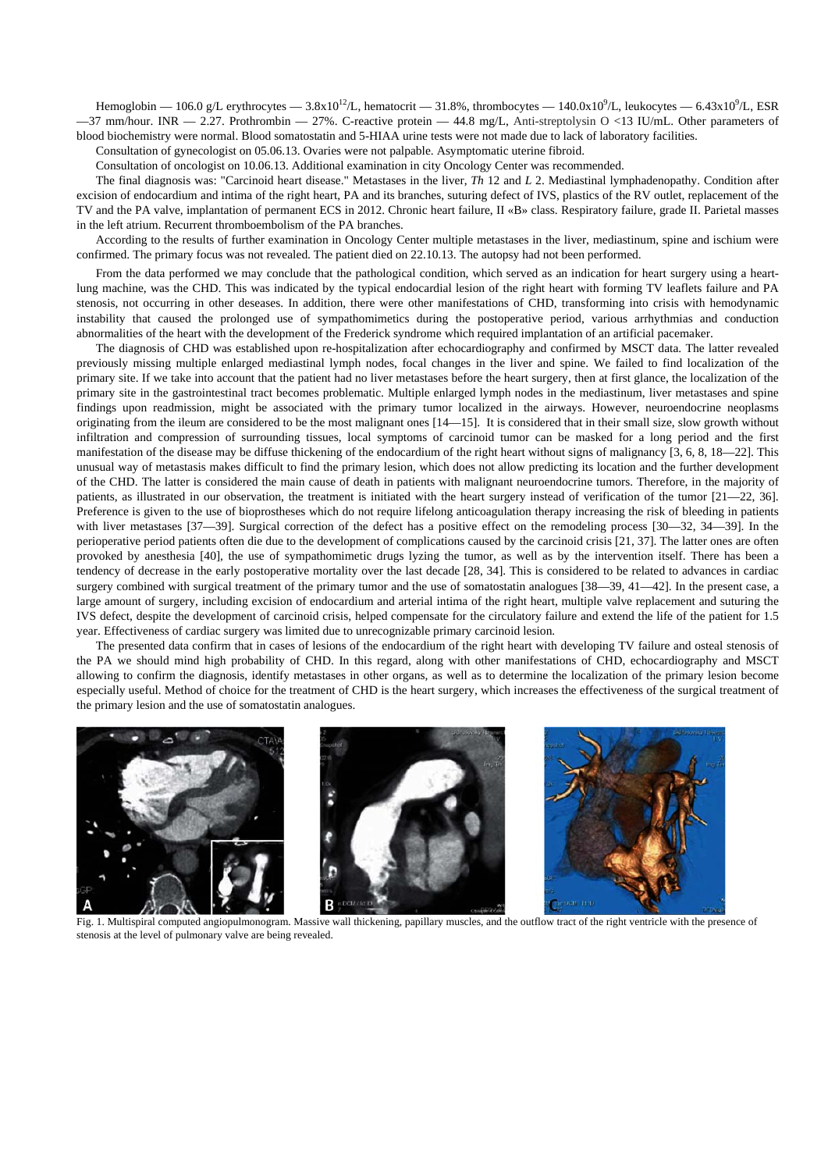Hemoglobin — 106.0 g/L erythrocytes —  $3.8x10^{12}$ /L, hematocrit — 31.8%, thrombocytes — 140.0x10<sup>9</sup>/L, leukocytes — 6.43x10<sup>9</sup>/L, ESR  $-37$  mm/hour. INR  $-2.27$ . Prothrombin  $-27\%$ . C-reactive protein  $-44.8$  mg/L, Anti-streptolysin O <13 IU/mL. Other parameters of blood biochemistry were normal. Blood somatostatin and 5-HIAA urine tests were not made due to lack of laboratory facilities.

Consultation of gynecologist on 05.06.13. Ovaries were not palpable. Asymptomatic uterine fibroid.

Consultation of oncologist on 10.06.13. Additional examination in city Oncology Center was recommended.

The final diagnosis was: "Carcinoid heart disease." Metastases in the liver, *Th* 12 and *L* 2. Mediastinal lymphadenopathy. Condition after excision of endocardium and intima of the right heart, PA and its branches, suturing defect of IVS, plastics of the RV outlet, replacement of the TV and the PA valve, implantation of permanent ECS in 2012. Chronic heart failure, II «B» class. Respiratory failure, grade II. Parietal masses in the left atrium. Recurrent thromboembolism of the PA branches.

According to the results of further examination in Oncology Center multiple metastases in the liver, mediastinum, spine and ischium were confirmed. The primary focus was not revealed. The patient died on 22.10.13. The autopsy had not been performed.

From the data performed we may conclude that the pathological condition, which served as an indication for heart surgery using a heartlung machine, was the CHD. This was indicated by the typical endocardial lesion of the right heart with forming TV leaflets failure and PA stenosis, not occurring in other deseases. In addition, there were other manifestations of CHD, transforming into crisis with hemodynamic instability that caused the prolonged use of sympathomimetics during the postoperative period, various arrhythmias and conduction abnormalities of the heart with the development of the Frederick syndrome which required implantation of an artificial pacemaker.

The diagnosis of CHD was established upon re-hospitalization after echocardiography and confirmed by MSCT data. The latter revealed previously missing multiple enlarged mediastinal lymph nodes, focal changes in the liver and spine. We failed to find localization of the primary site. If we take into account that the patient had no liver metastases before the heart surgery, then at first glance, the localization of the primary site in the gastrointestinal tract becomes problematic. Multiple enlarged lymph nodes in the mediastinum, liver metastases and spine findings upon readmission, might be associated with the primary tumor localized in the airways. However, neuroendocrine neoplasms originating from the ileum are considered to be the most malignant ones [14—15]. It is considered that in their small size, slow growth without infiltration and compression of surrounding tissues, local symptoms of carcinoid tumor can be masked for a long period and the first manifestation of the disease may be diffuse thickening of the endocardium of the right heart without signs of malignancy [3, 6, 8, 18—22]. This unusual way of metastasis makes difficult to find the primary lesion, which does not allow predicting its location and the further development of the CHD. The latter is considered the main cause of death in patients with malignant neuroendocrine tumors. Therefore, in the majority of patients, as illustrated in our observation, the treatment is initiated with the heart surgery instead of verification of the tumor [21—22, 36]. Preference is given to the use of bioprostheses which do not require lifelong anticoagulation therapy increasing the risk of bleeding in patients with liver metastases [37—39]. Surgical correction of the defect has a positive effect on the remodeling process [30—32, 34—39]. In the perioperative period patients often die due to the development of complications caused by the carcinoid crisis [21, 37]. The latter ones are often provoked by anesthesia [40], the use of sympathomimetic drugs lyzing the tumor, as well as by the intervention itself. There has been a tendency of decrease in the early postoperative mortality over the last decade [28, 34]. This is considered to be related to advances in cardiac surgery combined with surgical treatment of the primary tumor and the use of somatostatin analogues [38—39, 41—42]. In the present case, a large amount of surgery, including excision of endocardium and arterial intima of the right heart, multiple valve replacement and suturing the IVS defect, despite the development of carcinoid crisis, helped compensate for the circulatory failure and extend the life of the patient for 1.5 year. Effectiveness of cardiac surgery was limited due to unrecognizable primary carcinoid lesion.

The presented data confirm that in cases of lesions of the endocardium of the right heart with developing TV failure and osteal stenosis of the PA we should mind high probability of CHD. In this regard, along with other manifestations of CHD, echocardiography and MSCT allowing to confirm the diagnosis, identify metastases in other organs, as well as to determine the localization of the primary lesion become especially useful. Method of choice for the treatment of CHD is the heart surgery, which increases the effectiveness of the surgical treatment of the primary lesion and the use of somatostatin analogues.



Fig. 1. Multispiral computed angiopulmonogram. Massive wall thickening, papillary muscles, and the outflow tract of the right ventricle with the presence of stenosis at the level of pulmonary valve are being revealed.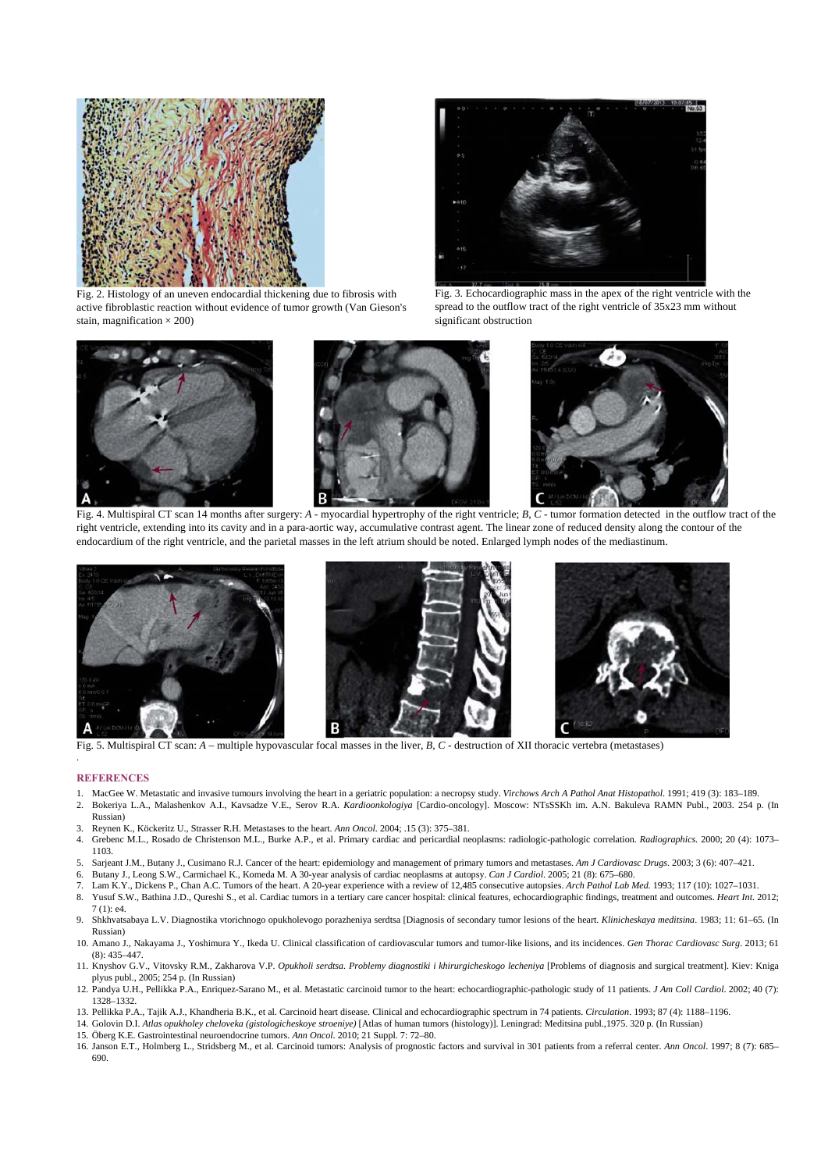

Fig. 2. Histology of an uneven endocardial thickening due to fibrosis with active fibroblastic reaction without evidence of tumor growth (Van Gieson's stain, magnification  $\times$  200)



Fig. 3. Echocardiographic mass in the apex of the right ventricle with the spread to the outflow tract of the right ventricle of 35x23 mm without significant obstruction



Fig. 4. Multispiral CT scan 14 months after surgery: *A* - myocardial hypertrophy of the right ventricle; *B*, *C* - tumor formation detected in the outflow tract of the right ventricle, extending into its cavity and in a para-aortic way, accumulative contrast agent. The linear zone of reduced density along the contour of the endocardium of the right ventricle, and the parietal masses in the left atrium should be noted. Enlarged lymph nodes of the mediastinum.







Fig. 5. Multispiral CT scan: *A –* multiple hypovascular focal masses in the liver, *B, C -* destruction of XII thoracic vertebra (metastases)

## **REFERENCES**

.

- 1. MacGee W. Metastatic and invasive tumours involving the heart in a geriatric population: a necropsy study. *Virchows Arch A Pathol Anat Histopathol*. 1991; 419 (3): 183–189.
- 2. Bokeriya L.A., Malashenkov A.I., Kavsadze V.E., Serov R.A. *Kardioonkologiya* [Cardio-oncology]. Moscow: NTsSSKh im. A.N. Bakuleva RAMN Publ., 2003. 254 p. (In Russian)
- 3. Reynen K., Köckeritz U., Strasser R.H. Metastases to the heart. *Ann Oncol.* 2004; .15 (3): 375–381.
- 4. Grebenc M.L., Rosado de Christenson M.L., Burke A.P., et al. Primary cardiac and pericardial neoplasms: radiologic-pathologic correlation. *Radiographics*. 2000; 20 (4): 1073– 1103.
- 5. Sarjeant J.M., Butany J., Cusimano R.J. Cancer of the heart: epidemiology and management of primary tumors and metastases. *Am J Cardiovasc Drugs*. 2003; 3 (6): 407–421.
- 6. Butany J., Leong S.W., Carmichael K., Komeda M. A 30-year analysis of cardiac neoplasms at autopsy. *Can J Cardiol*. 2005; 21 (8): 675–680.
- 7. Lam K.Y., Dickens P., Chan A.C. Tumors of the heart. A 20-year experience with a review of 12,485 consecutive autopsies. *Arch Pathol Lab Med*. 1993; 117 (10): 1027–1031.
- 8. Yusuf S.W., Bathina J.D., Qureshi S., et al. Cardiac tumors in a tertiary care cancer hospital: clinical features, echocardiographic findings, treatment and outcomes. *Heart Int*. 2012; 7 (1): e4.
- 9. Shkhvatsabaya L.V. Diagnostika vtorichnogo opukholevogo porazheniya serdtsa [Diagnosis of secondary tumor lesions of the heart. *Klinicheskaya meditsina*. 1983; 11: 61–65. (In Russian)
- 10. Amano J., Nakayama J., Yoshimura Y., Ikeda U. Clinical classification of cardiovascular tumors and tumor-like lisions, and its incidences. *Gen Thorac Cardiovasc Surg*. 2013; 61 (8): 435–447.
- 11. Knyshov G.V., Vitovsky R.M., Zakharova V.P. *Opukholi serdtsa. Problemy diagnostiki i khirurgicheskogo lecheniya* [Problems of diagnosis and surgical treatment]. Kiev: Kniga plyus publ., 2005; 254 p. (In Russian)
- 12. Pandya U.H., Pellikka P.A., Enriquez-Sarano M., et al. Metastatic carcinoid tumor to the heart: echocardiographic-pathologic study of 11 patients. *J Am Coll Cardiol*. 2002; 40 (7): 1328–1332.
- 13. Pellikka P.A., Tajik A.J., Khandheria B.K., et al. Carcinoid heart disease. Clinical and echocardiographic spectrum in 74 patients. *Circulation*. 1993; 87 (4): 1188–1196.
- 14. Golovin D.I. *Atlas opukholey cheloveka (gistologicheskoye stroeniye)* [Atlas of human tumors (histology)]. Leningrad: Meditsina publ.,1975. 320 p. (In Russian)
- 15. Öberg K.E. Gastrointestinal neuroendocrine tumors. *Ann Oncol*. 2010; 21 Suppl. 7: 72–80.
- 16. Janson E.T., Holmberg L., Stridsberg M., et al. Carcinoid tumors: Analysis of prognostic factors and survival in 301 patients from a referral center. *Ann Oncol*. 1997; 8 (7): 685– 690.